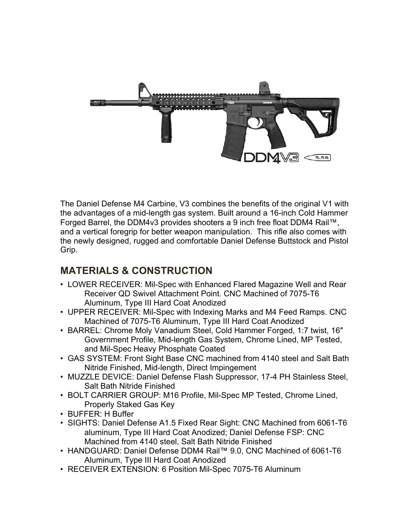

The Daniel Defense M4 Carbine, V3 combines the benefits of the original V1 with the advantages of a mid-length gas system. Built around a 16-inch Cold Hammer Forged Barrel, the DDM4v3 provides shooters a 9 inch free float DDM4 Rail™, and a vertical foregrip for better weapon manipulation. This rifle also comes with the newly designed, rugged and comfortable Daniel Defense Buttstock and Pistol Grip.

## **MATERIALS & CONSTRUCTION**

- LOWER RECEIVER: Mil-Spec with Enhanced Flared Magazine Well and Rear Receiver QD Swivel Attachment Point. CNC Machined of 7075-T6 Aluminum, Type III Hard Coat Anodized
- UPPER RECEIVER: Mil-Spec with Indexing Marks and M4 Feed Ramps. CNC Machined of 7075-T6 Aluminum, Type III Hard Coat Anodized
- BARREL: Chrome Moly Vanadium Steel, Cold Hammer Forged, 1:7 twist, 16″ Government Profile, Mid-length Gas System, Chrome Lined, MP Tested, and Mil-Spec Heavy Phosphate Coated
- GAS SYSTEM: Front Sight Base CNC machined from 4140 steel and Salt Bath Nitride Finished, Mid-length, Direct Impingement
- MUZZLE DEVICE: Daniel Defense Flash Suppressor, 17-4 PH Stainless Steel, Salt Bath Nitride Finished
- BOLT CARRIER GROUP: M16 Profile, Mil-Spec MP Tested, Chrome Lined, Properly Staked Gas Key
- BUFFER: H Buffer
- SIGHTS: Daniel Defense A1.5 Fixed Rear Sight: CNC Machined from 6061-T6 aluminum, Type III Hard Coat Anodized; Daniel Defense FSP: CNC Machined from 4140 steel, Salt Bath Nitride Finished
- HANDGUARD: Daniel Defense DDM4 Rail™ 9.0, CNC Machined of 6061-T6 Aluminum, Type III Hard Coat Anodized
- RECEIVER EXTENSION: 6 Position Mil-Spec 7075-T6 Aluminum